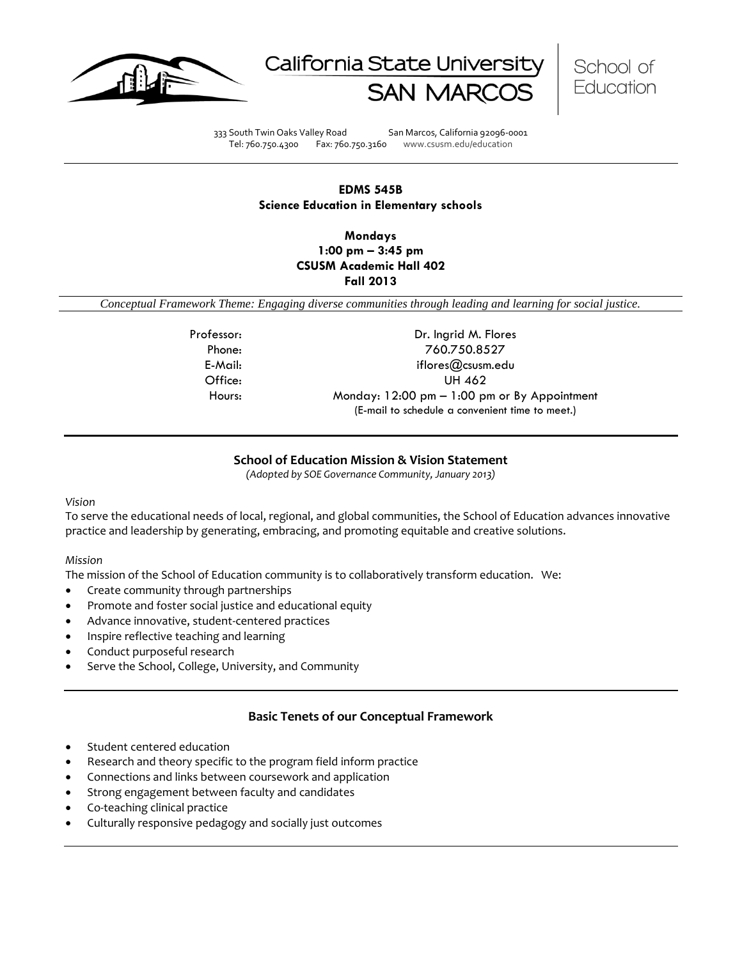





333 South Twin Oaks Valley Road San Marcos, California 92096-0001 Tel: 760.750.4300 Fax: 760.750.3160 www.csusm.edu/education

## **EDMS 545B Science Education in Elementary schools**

**Mondays 1:00 pm – 3:45 pm CSUSM Academic Hall 402 Fall 2013** 

<span id="page-0-0"></span>*Conceptual Framework Theme: Engaging diverse communities through leading and learning for social justice.*

Professor: Dr. Ingrid M. Flores Phone: 760.750.8527 E-Mail: iflores@csusm.edu Office: UH 462 Hours: Monday: 12:00 pm – 1:00 pm or By Appointment (E-mail to schedule a convenient time to meet.)

## **School of Education Mission & Vision Statement**

*(Adopted by SOE Governance Community, January 2013)*

## <span id="page-0-1"></span>*Vision*

To serve the educational needs of local, regional, and global communities, the School of Education advances innovative practice and leadership by generating, embracing, and promoting equitable and creative solutions.

## *Mission*

The mission of the School of Education community is to collaboratively transform education. We:

- Create community through partnerships
- Promote and foster social justice and educational equity
- Advance innovative, student-centered practices
- Inspire reflective teaching and learning
- Conduct purposeful research
- Serve the School, College, University, and Community

## **Basic Tenets of our Conceptual Framework**

- <span id="page-0-2"></span>Student centered education
- Research and theory specific to the program field inform practice
- Connections and links between coursework and application
- Strong engagement between faculty and candidates
- Co-teaching clinical practice
- Culturally responsive pedagogy and socially just outcomes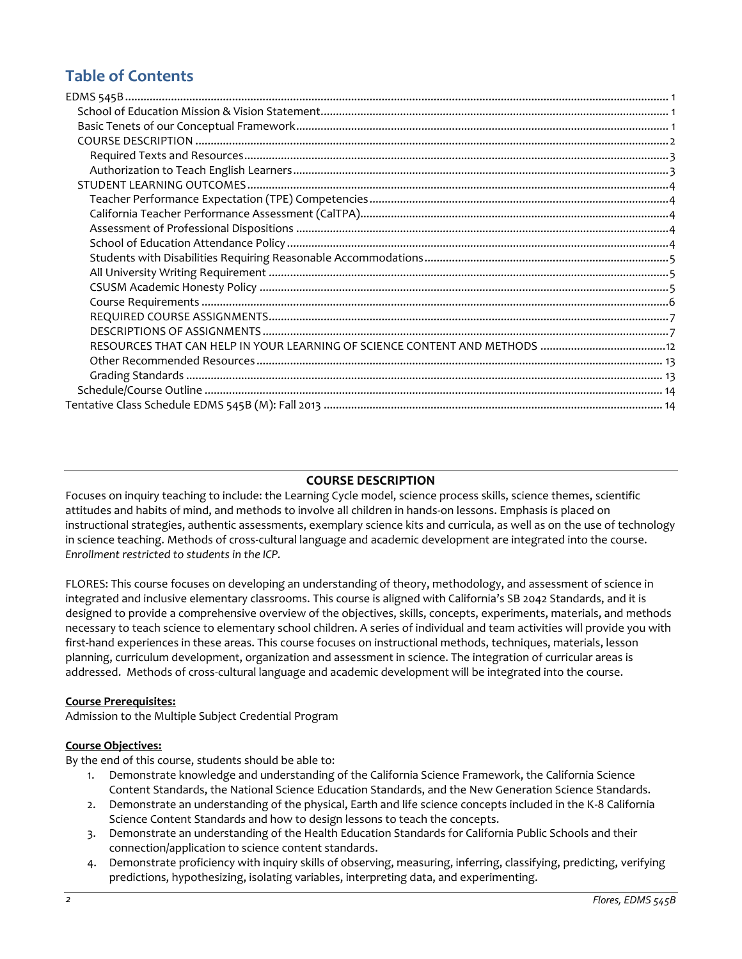# **Table of Contents**

## **COURSE DESCRIPTION**

<span id="page-1-0"></span>Focuses on inquiry teaching to include: the Learning Cycle model, science process skills, science themes, scientific attitudes and habits of mind, and methods to involve all children in hands-on lessons. Emphasis is placed on instructional strategies, authentic assessments, exemplary science kits and curricula, as well as on the use of technology in science teaching. Methods of cross-cultural language and academic development are integrated into the course. *Enrollment restricted to students in the ICP.*

FLORES: This course focuses on developing an understanding of theory, methodology, and assessment of science in integrated and inclusive elementary classrooms. This course is aligned with California's SB 2042 Standards, and it is designed to provide a comprehensive overview of the objectives, skills, concepts, experiments, materials, and methods necessary to teach science to elementary school children. A series of individual and team activities will provide you with first-hand experiences in these areas. This course focuses on instructional methods, techniques, materials, lesson planning, curriculum development, organization and assessment in science. The integration of curricular areas is addressed. Methods of cross-cultural language and academic development will be integrated into the course.

## **Course Prerequisites:**

Admission to the Multiple Subject Credential Program

## **Course Objectives:**

By the end of this course, students should be able to:

- 1. Demonstrate knowledge and understanding of the California Science Framework, the California Science Content Standards, the National Science Education Standards, and the New Generation Science Standards.
- 2. Demonstrate an understanding of the physical, Earth and life science concepts included in the K-8 California Science Content Standards and how to design lessons to teach the concepts.
- 3. Demonstrate an understanding of the Health Education Standards for California Public Schools and their connection/application to science content standards.
- 4. Demonstrate proficiency with inquiry skills of observing, measuring, inferring, classifying, predicting, verifying predictions, hypothesizing, isolating variables, interpreting data, and experimenting.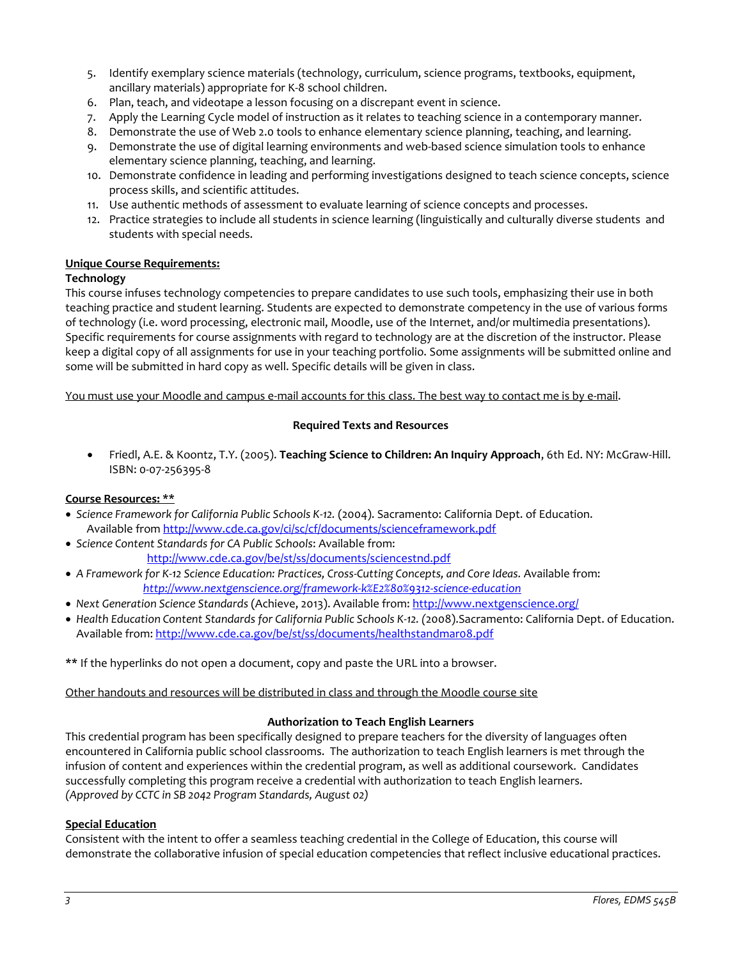- 5. Identify exemplary science materials (technology, curriculum, science programs, textbooks, equipment, ancillary materials) appropriate for K-8 school children.
- 6. Plan, teach, and videotape a lesson focusing on a discrepant event in science.
- 7. Apply the Learning Cycle model of instruction as it relates to teaching science in a contemporary manner.
- 8. Demonstrate the use of Web 2.0 tools to enhance elementary science planning, teaching, and learning.
- 9. Demonstrate the use of digital learning environments and web-based science simulation tools to enhance elementary science planning, teaching, and learning.
- 10. Demonstrate confidence in leading and performing investigations designed to teach science concepts, science process skills, and scientific attitudes.
- 11. Use authentic methods of assessment to evaluate learning of science concepts and processes.
- 12. Practice strategies to include all students in science learning (linguistically and culturally diverse students and students with special needs.

## **Unique Course Requirements:**

## **Technology**

This course infuses technology competencies to prepare candidates to use such tools, emphasizing their use in both teaching practice and student learning. Students are expected to demonstrate competency in the use of various forms of technology (i.e. word processing, electronic mail, Moodle, use of the Internet, and/or multimedia presentations). Specific requirements for course assignments with regard to technology are at the discretion of the instructor. Please keep a digital copy of all assignments for use in your teaching portfolio. Some assignments will be submitted online and some will be submitted in hard copy as well. Specific details will be given in class.

<span id="page-2-0"></span>You must use your Moodle and campus e-mail accounts for this class. The best way to contact me is by e-mail.

#### **Required Texts and Resources**

 Friedl, A.E. & Koontz, T.Y. (2005). **Teaching Science to Children: An Inquiry Approach**, 6th Ed. NY: McGraw-Hill. ISBN: 0-07-256395-8

## **Course Resources: \*\***

- *Science Framework for California Public Schools K-12.* (2004). Sacramento: California Dept. of Education. Available fro[m http://www.cde.ca.gov/ci/sc/cf/documents/scienceframework.pdf](http://www.cde.ca.gov/ci/sc/cf/documents/scienceframework.pdf)
- *Science Content Standards for CA Public Schools*: Available from: <http://www.cde.ca.gov/be/st/ss/documents/sciencestnd.pdf>
- A Framework for K-12 Science Education: Practices, Cross-Cutting Concepts, and Core Ideas. Available from:  *<http://www.nextgenscience.org/framework-k%E2%80%9312-science-education>*
- *Next Generation Science Standards* (Achieve, 2013). Available from[: http://www.nextgenscience.org/](http://www.nextgenscience.org/)
- *Health Education Content Standards for California Public Schools K-12. (*2008).Sacramento: California Dept. of Education. Available from: http://www.cde.ca.gov/be/st/ss/documents/healthstandmaro8.pdf

**\*\*** If the hyperlinks do not open a document, copy and paste the URL into a browser.

## Other handouts and resources will be distributed in class and through the Moodle course site

## **Authorization to Teach English Learners**

<span id="page-2-1"></span>This credential program has been specifically designed to prepare teachers for the diversity of languages often encountered in California public school classrooms. The authorization to teach English learners is met through the infusion of content and experiences within the credential program, as well as additional coursework. Candidates successfully completing this program receive a credential with authorization to teach English learners. *(Approved by CCTC in SB 2042 Program Standards, August 02)*

#### **Special Education**

Consistent with the intent to offer a seamless teaching credential in the College of Education, this course will demonstrate the collaborative infusion of special education competencies that reflect inclusive educational practices.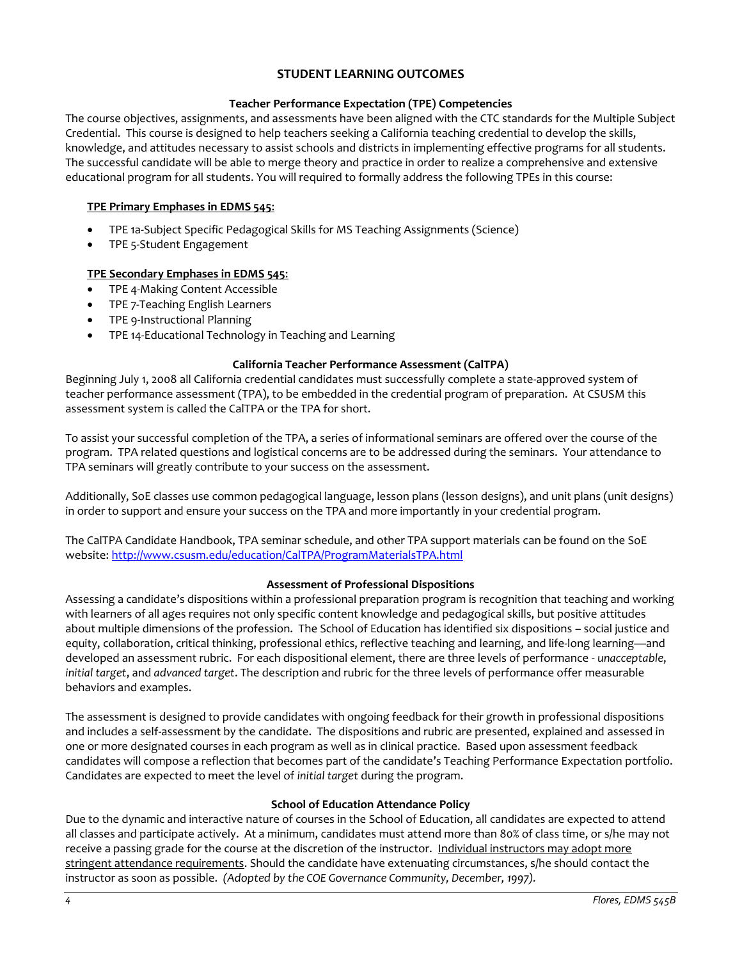# **STUDENT LEARNING OUTCOMES**

## **Teacher Performance Expectation (TPE) Competencies**

<span id="page-3-1"></span><span id="page-3-0"></span>The course objectives, assignments, and assessments have been aligned with the CTC standards for the Multiple Subject Credential. This course is designed to help teachers seeking a California teaching credential to develop the skills, knowledge, and attitudes necessary to assist schools and districts in implementing effective programs for all students. The successful candidate will be able to merge theory and practice in order to realize a comprehensive and extensive educational program for all students. You will required to formally address the following TPEs in this course:

## **TPE Primary Emphases in EDMS 545**:

- TPE 1a-Subject Specific Pedagogical Skills for MS Teaching Assignments (Science)
- TPE 5-Student Engagement

## **TPE Secondary Emphases in EDMS 545**:

- TPE 4-Making Content Accessible
- TPE 7-Teaching English Learners
- TPE 9-Instructional Planning
- TPE 14-Educational Technology in Teaching and Learning

## **California Teacher Performance Assessment (CalTPA)**

<span id="page-3-2"></span>Beginning July 1, 2008 all California credential candidates must successfully complete a state-approved system of teacher performance assessment (TPA), to be embedded in the credential program of preparation. At CSUSM this assessment system is called the CalTPA or the TPA for short.

To assist your successful completion of the TPA, a series of informational seminars are offered over the course of the program. TPA related questions and logistical concerns are to be addressed during the seminars. Your attendance to TPA seminars will greatly contribute to your success on the assessment.

Additionally, SoE classes use common pedagogical language, lesson plans (lesson designs), and unit plans (unit designs) in order to support and ensure your success on the TPA and more importantly in your credential program.

The CalTPA Candidate Handbook, TPA seminar schedule, and other TPA support materials can be found on the SoE website: <http://www.csusm.edu/education/CalTPA/ProgramMaterialsTPA.html>

## **Assessment of Professional Dispositions**

<span id="page-3-3"></span>Assessing a candidate's dispositions within a professional preparation program is recognition that teaching and working with learners of all ages requires not only specific content knowledge and pedagogical skills, but positive attitudes about multiple dimensions of the profession. The School of Education has identified six dispositions – social justice and equity, collaboration, critical thinking, professional ethics, reflective teaching and learning, and life-long learning—and developed an assessment rubric. For each dispositional element, there are three levels of performance - *unacceptable*, *initial target*, and *advanced target*. The description and rubric for the three levels of performance offer measurable behaviors and examples.

The assessment is designed to provide candidates with ongoing feedback for their growth in professional dispositions and includes a self-assessment by the candidate. The dispositions and rubric are presented, explained and assessed in one or more designated courses in each program as well as in clinical practice. Based upon assessment feedback candidates will compose a reflection that becomes part of the candidate's Teaching Performance Expectation portfolio. Candidates are expected to meet the level of *initial target* during the program.

## **School of Education Attendance Policy**

<span id="page-3-4"></span>Due to the dynamic and interactive nature of courses in the School of Education, all candidates are expected to attend all classes and participate actively. At a minimum, candidates must attend more than 80% of class time, or s/he may not receive a passing grade for the course at the discretion of the instructor. Individual instructors may adopt more stringent attendance requirements. Should the candidate have extenuating circumstances, s/he should contact the instructor as soon as possible. *(Adopted by the COE Governance Community, December, 1997).*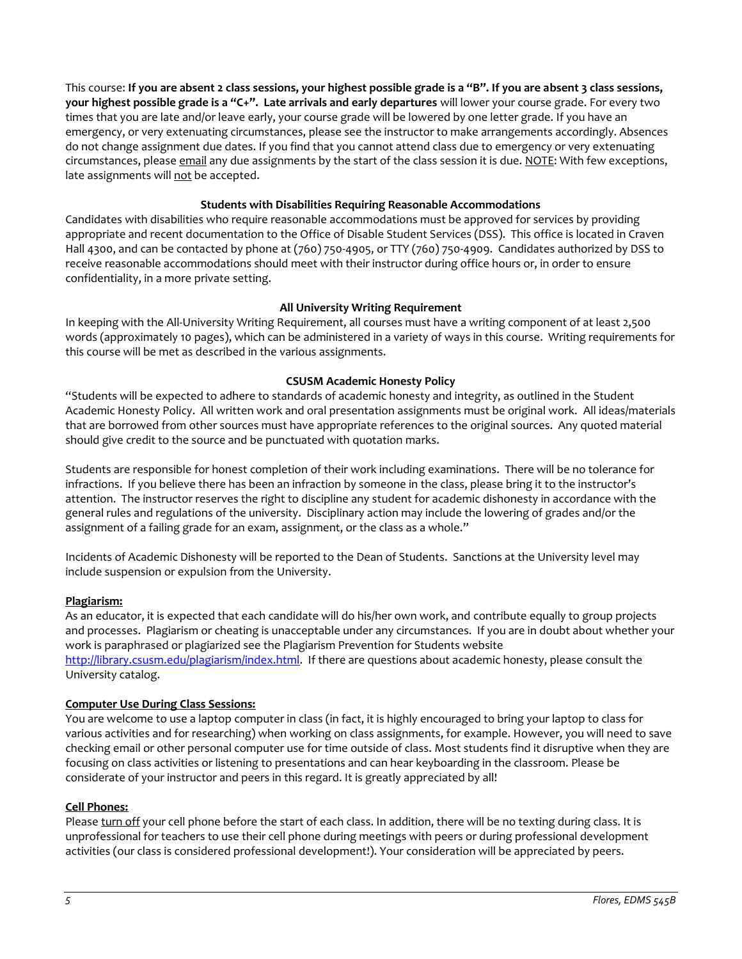This course: **If you are absent 2 class sessions, your highest possible grade is a "B". If you are absent 3 class sessions, your highest possible grade is a "C+". Late arrivals and early departures** will lower your course grade. For every two times that you are late and/or leave early, your course grade will be lowered by one letter grade. If you have an emergency, or very extenuating circumstances, please see the instructor to make arrangements accordingly. Absences do not change assignment due dates. If you find that you cannot attend class due to emergency or very extenuating circumstances, please email any due assignments by the start of the class session it is due. NOTE: With few exceptions, late assignments will not be accepted.

## **Students with Disabilities Requiring Reasonable Accommodations**

<span id="page-4-0"></span>Candidates with disabilities who require reasonable accommodations must be approved for services by providing appropriate and recent documentation to the Office of Disable Student Services (DSS). This office is located in Craven Hall 4300, and can be contacted by phone at (760) 750-4905, or TTY (760) 750-4909. Candidates authorized by DSS to receive reasonable accommodations should meet with their instructor during office hours or, in order to ensure confidentiality, in a more private setting.

# **All University Writing Requirement**

<span id="page-4-1"></span>In keeping with the All-University Writing Requirement, all courses must have a writing component of at least 2,500 words (approximately 10 pages), which can be administered in a variety of ways in this course. Writing requirements for this course will be met as described in the various assignments.

## **CSUSM Academic Honesty Policy**

<span id="page-4-2"></span>"Students will be expected to adhere to standards of academic honesty and integrity, as outlined in the Student Academic Honesty Policy. All written work and oral presentation assignments must be original work. All ideas/materials that are borrowed from other sources must have appropriate references to the original sources. Any quoted material should give credit to the source and be punctuated with quotation marks.

Students are responsible for honest completion of their work including examinations. There will be no tolerance for infractions. If you believe there has been an infraction by someone in the class, please bring it to the instructor's attention. The instructor reserves the right to discipline any student for academic dishonesty in accordance with the general rules and regulations of the university. Disciplinary action may include the lowering of grades and/or the assignment of a failing grade for an exam, assignment, or the class as a whole."

Incidents of Academic Dishonesty will be reported to the Dean of Students. Sanctions at the University level may include suspension or expulsion from the University.

## **Plagiarism:**

As an educator, it is expected that each candidate will do his/her own work, and contribute equally to group projects and processes. Plagiarism or cheating is unacceptable under any circumstances. If you are in doubt about whether your work is paraphrased or plagiarized see the Plagiarism Prevention for Students website [http://library.csusm.edu/plagiarism/index.html.](http://library.csusm.edu/plagiarism/index.html) If there are questions about academic honesty, please consult the University catalog.

## **Computer Use During Class Sessions:**

You are welcome to use a laptop computer in class (in fact, it is highly encouraged to bring your laptop to class for various activities and for researching) when working on class assignments, for example. However, you will need to save checking email or other personal computer use for time outside of class. Most students find it disruptive when they are focusing on class activities or listening to presentations and can hear keyboarding in the classroom. Please be considerate of your instructor and peers in this regard. It is greatly appreciated by all!

## **Cell Phones:**

Please turn off your cell phone before the start of each class. In addition, there will be no texting during class. It is unprofessional for teachers to use their cell phone during meetings with peers or during professional development activities (our class is considered professional development!). Your consideration will be appreciated by peers.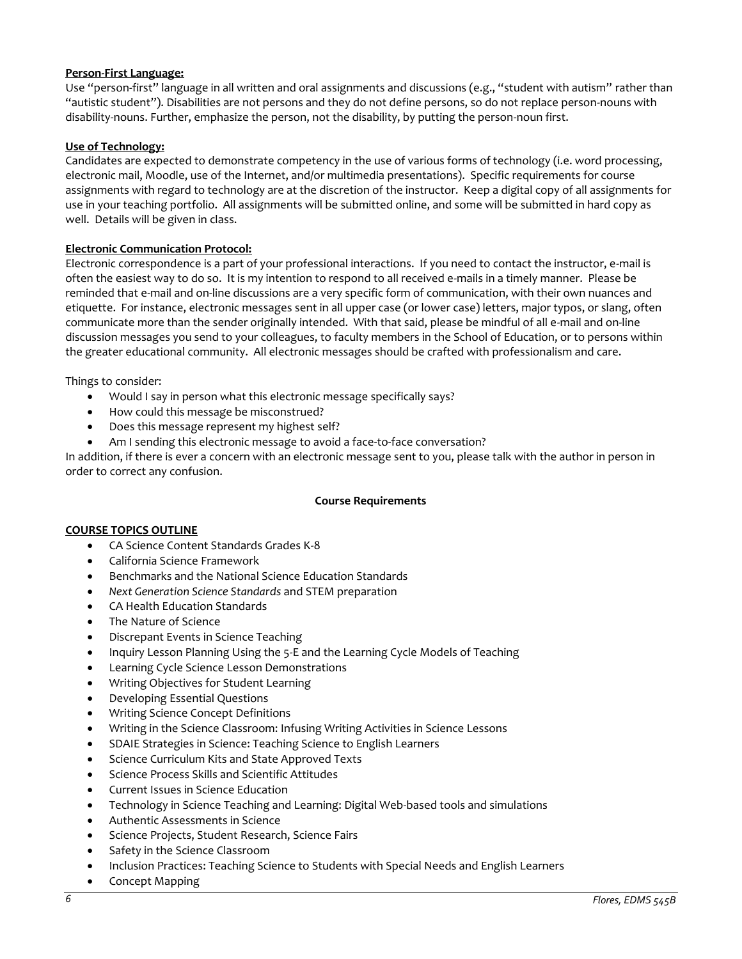## **Person-First Language:**

Use "person-first" language in all written and oral assignments and discussions (e.g., "student with autism" rather than "autistic student"). Disabilities are not persons and they do not define persons, so do not replace person-nouns with disability-nouns. Further, emphasize the person, not the disability, by putting the person-noun first.

## **Use of Technology:**

Candidates are expected to demonstrate competency in the use of various forms of technology (i.e. word processing, electronic mail, Moodle, use of the Internet, and/or multimedia presentations). Specific requirements for course assignments with regard to technology are at the discretion of the instructor. Keep a digital copy of all assignments for use in your teaching portfolio. All assignments will be submitted online, and some will be submitted in hard copy as well. Details will be given in class.

## **Electronic Communication Protocol:**

Electronic correspondence is a part of your professional interactions. If you need to contact the instructor, e-mail is often the easiest way to do so. It is my intention to respond to all received e-mails in a timely manner. Please be reminded that e-mail and on-line discussions are a very specific form of communication, with their own nuances and etiquette. For instance, electronic messages sent in all upper case (or lower case) letters, major typos, or slang, often communicate more than the sender originally intended. With that said, please be mindful of all e-mail and on-line discussion messages you send to your colleagues, to faculty members in the School of Education, or to persons within the greater educational community. All electronic messages should be crafted with professionalism and care.

Things to consider:

- Would I say in person what this electronic message specifically says?
- How could this message be misconstrued?
- Does this message represent my highest self?
- Am I sending this electronic message to avoid a face-to-face conversation?

In addition, if there is ever a concern with an electronic message sent to you, please talk with the author in person in order to correct any confusion.

## **Course Requirements**

## <span id="page-5-0"></span>**COURSE TOPICS OUTLINE**

- CA Science Content Standards Grades K-8
- California Science Framework
- Benchmarks and the National Science Education Standards
- *Next Generation Science Standards* and STEM preparation
- CA Health Education Standards
- The Nature of Science
- Discrepant Events in Science Teaching
- Inquiry Lesson Planning Using the 5-E and the Learning Cycle Models of Teaching
- Learning Cycle Science Lesson Demonstrations
- Writing Objectives for Student Learning
- Developing Essential Questions
- Writing Science Concept Definitions
- Writing in the Science Classroom: Infusing Writing Activities in Science Lessons
- SDAIE Strategies in Science: Teaching Science to English Learners
- Science Curriculum Kits and State Approved Texts
- Science Process Skills and Scientific Attitudes
- Current Issues in Science Education
- Technology in Science Teaching and Learning: Digital Web-based tools and simulations
- Authentic Assessments in Science
- Science Projects, Student Research, Science Fairs
- Safety in the Science Classroom
- Inclusion Practices: Teaching Science to Students with Special Needs and English Learners
- Concept Mapping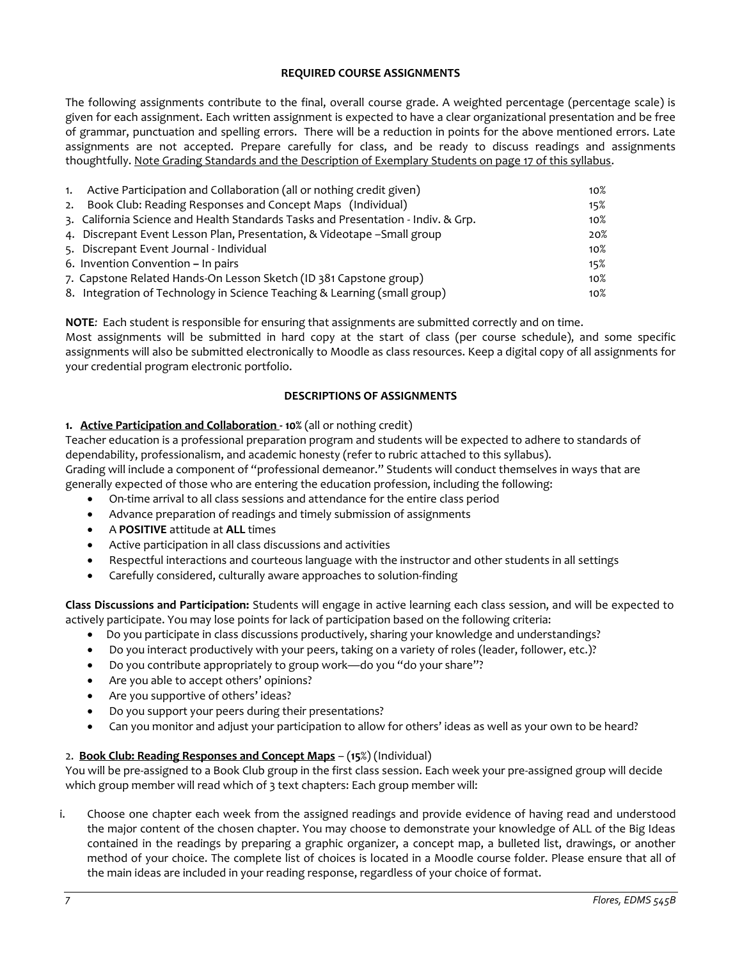## **REQUIRED COURSE ASSIGNMENTS**

<span id="page-6-0"></span>The following assignments contribute to the final, overall course grade. A weighted percentage (percentage scale) is given for each assignment. Each written assignment is expected to have a clear organizational presentation and be free of grammar, punctuation and spelling errors. There will be a reduction in points for the above mentioned errors. Late assignments are not accepted. Prepare carefully for class, and be ready to discuss readings and assignments thoughtfully. Note Grading Standards and the Description of Exemplary Students on page 17 of this syllabus.

| 1. Active Participation and Collaboration (all or nothing credit given)           | $10\%$ |
|-----------------------------------------------------------------------------------|--------|
| 2. Book Club: Reading Responses and Concept Maps (Individual)                     | 15%    |
| 3. California Science and Health Standards Tasks and Presentation - Indiv. & Grp. | $10\%$ |
| 4. Discrepant Event Lesson Plan, Presentation, & Videotape - Small group          | 20%    |
| 5. Discrepant Event Journal - Individual                                          | $10\%$ |
| 6. Invention Convention - In pairs                                                | 15%    |
| 7. Capstone Related Hands-On Lesson Sketch (ID 381 Capstone group)                | $10\%$ |
| 8. Integration of Technology in Science Teaching & Learning (small group)         | $10\%$ |

**NOTE***:* Each student is responsible for ensuring that assignments are submitted correctly and on time. Most assignments will be submitted in hard copy at the start of class (per course schedule), and some specific assignments will also be submitted electronically to Moodle as class resources. Keep a digital copy of all assignments for your credential program electronic portfolio.

## **DESCRIPTIONS OF ASSIGNMENTS**

## <span id="page-6-1"></span>**1. Active Participation and Collaboration - 10%** (all or nothing credit)

Teacher education is a professional preparation program and students will be expected to adhere to standards of dependability, professionalism, and academic honesty (refer to rubric attached to this syllabus). Grading will include a component of "professional demeanor." Students will conduct themselves in ways that are generally expected of those who are entering the education profession, including the following:

- On-time arrival to all class sessions and attendance for the entire class period
- Advance preparation of readings and timely submission of assignments
- A **POSITIVE** attitude at **ALL** times
- Active participation in all class discussions and activities
- Respectful interactions and courteous language with the instructor and other students in all settings
- Carefully considered, culturally aware approaches to solution-finding

**Class Discussions and Participation:** Students will engage in active learning each class session, and will be expected to actively participate. You may lose points for lack of participation based on the following criteria:

- Do you participate in class discussions productively, sharing your knowledge and understandings?
- Do you interact productively with your peers, taking on a variety of roles (leader, follower, etc.)?
- Do you contribute appropriately to group work—do you "do your share"?
- Are you able to accept others' opinions?
- Are you supportive of others' ideas?
- Do you support your peers during their presentations?
- Can you monitor and adjust your participation to allow for others' ideas as well as your own to be heard?

# 2. **Book Club: Reading Responses and Concept Maps** – (**15**%) (Individual)

You will be pre-assigned to a Book Club group in the first class session. Each week your pre-assigned group will decide which group member will read which of 3 text chapters: Each group member will:

i. Choose one chapter each week from the assigned readings and provide evidence of having read and understood the major content of the chosen chapter. You may choose to demonstrate your knowledge of ALL of the Big Ideas contained in the readings by preparing a graphic organizer, a concept map, a bulleted list, drawings, or another method of your choice. The complete list of choices is located in a Moodle course folder. Please ensure that all of the main ideas are included in your reading response, regardless of your choice of format.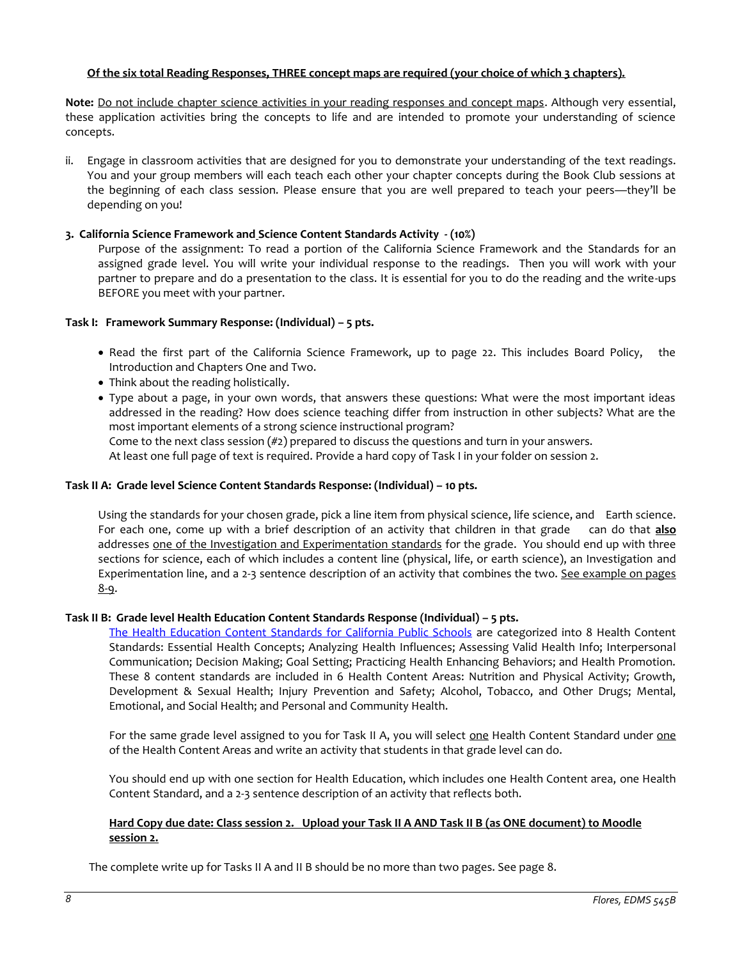## **Of the six total Reading Responses, THREE concept maps are required (your choice of which 3 chapters).**

**Note:** Do not include chapter science activities in your reading responses and concept maps. Although very essential, these application activities bring the concepts to life and are intended to promote your understanding of science concepts.

ii. Engage in classroom activities that are designed for you to demonstrate your understanding of the text readings. You and your group members will each teach each other your chapter concepts during the Book Club sessions at the beginning of each class session. Please ensure that you are well prepared to teach your peers—they'll be depending on you!

## **3. California Science Framework and Science Content Standards Activity - (10%)**

Purpose of the assignment: To read a portion of the California Science Framework and the Standards for an assigned grade level. You will write your individual response to the readings. Then you will work with your partner to prepare and do a presentation to the class. It is essential for you to do the reading and the write-ups BEFORE you meet with your partner.

## **Task I: Framework Summary Response: (Individual) – 5 pts.**

- Read the first part of the California Science Framework, up to page 22. This includes Board Policy, the Introduction and Chapters One and Two.
- Think about the reading holistically.
- Type about a page, in your own words, that answers these questions: What were the most important ideas addressed in the reading? How does science teaching differ from instruction in other subjects? What are the most important elements of a strong science instructional program? Come to the next class session  $(\#2)$  prepared to discuss the questions and turn in your answers.

At least one full page of text is required. Provide a hard copy of Task I in your folder on session 2.

## **Task II A: Grade level Science Content Standards Response: (Individual) – 10 pts.**

Using the standards for your chosen grade, pick a line item from physical science, life science, and Earth science. For each one, come up with a brief description of an activity that children in that grade can do that **also** addresses one of the Investigation and Experimentation standards for the grade. You should end up with three sections for science, each of which includes a content line (physical, life, or earth science), an Investigation and Experimentation line, and a 2-3 sentence description of an activity that combines the two. See example on pages 8-9.

## **Task II B: Grade level Health Education Content Standards Response (Individual) – 5 pts.**

[The Health Education Content Standards for California Public Schools](http://www.cde.ca.gov/be/st/ss/documents/healthstandmar08.pdf) are categorized into 8 Health Content Standards: Essential Health Concepts; Analyzing Health Influences; Assessing Valid Health Info; Interpersonal Communication; Decision Making; Goal Setting; Practicing Health Enhancing Behaviors; and Health Promotion. These 8 content standards are included in 6 Health Content Areas: Nutrition and Physical Activity; Growth, Development & Sexual Health; Injury Prevention and Safety; Alcohol, Tobacco, and Other Drugs; Mental, Emotional, and Social Health; and Personal and Community Health.

For the same grade level assigned to you for Task II A, you will select one Health Content Standard under one of the Health Content Areas and write an activity that students in that grade level can do.

You should end up with one section for Health Education, which includes one Health Content area, one Health Content Standard, and a 2-3 sentence description of an activity that reflects both.

#### **Hard Copy due date: Class session 2. Upload your Task II A AND Task II B (as ONE document) to Moodle session 2.**

The complete write up for Tasks II A and II B should be no more than two pages. See page 8.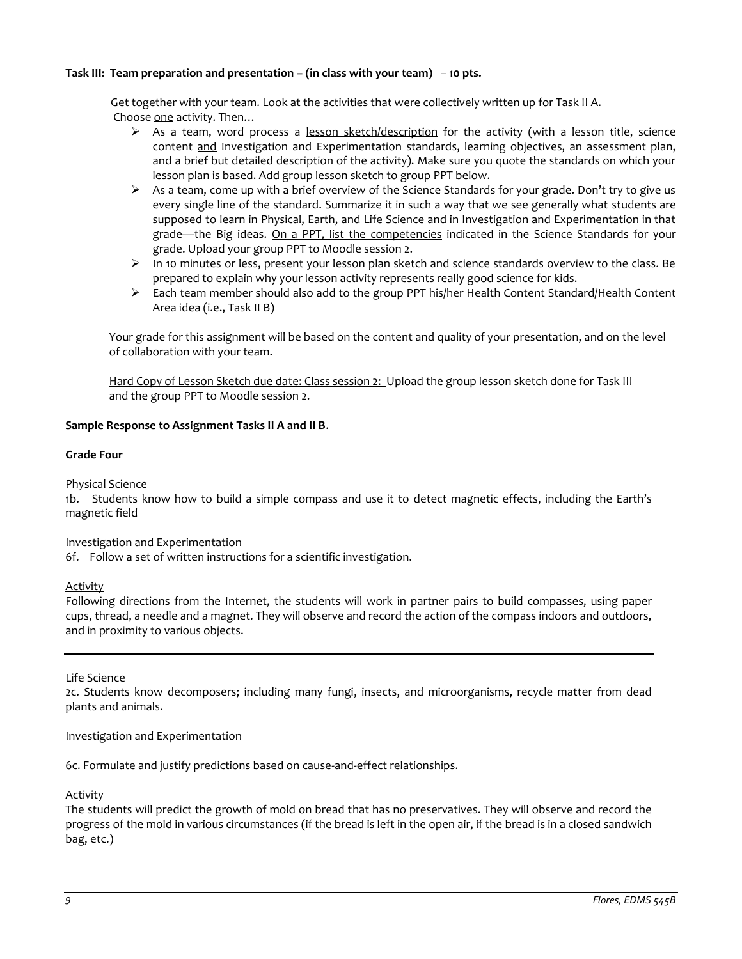## **Task III: Team preparation and presentation – (in class with your team)** – **10 pts.**

 Get together with your team. Look at the activities that were collectively written up for Task II A. Choose one activity. Then…

- $\triangleright$  As a team, word process a lesson sketch/description for the activity (with a lesson title, science content and Investigation and Experimentation standards, learning objectives, an assessment plan, and a brief but detailed description of the activity). Make sure you quote the standards on which your lesson plan is based. Add group lesson sketch to group PPT below.
- $\triangleright$  As a team, come up with a brief overview of the Science Standards for your grade. Don't try to give us every single line of the standard. Summarize it in such a way that we see generally what students are supposed to learn in Physical, Earth, and Life Science and in Investigation and Experimentation in that grade—the Big ideas. On a PPT, list the competencies indicated in the Science Standards for your grade. Upload your group PPT to Moodle session 2.
- $\triangleright$  In 10 minutes or less, present your lesson plan sketch and science standards overview to the class. Be prepared to explain why your lesson activity represents really good science for kids.
- Each team member should also add to the group PPT his/her Health Content Standard/Health Content Area idea (i.e., Task II B)

Your grade for this assignment will be based on the content and quality of your presentation, and on the level of collaboration with your team.

Hard Copy of Lesson Sketch due date: Class session 2: Upload the group lesson sketch done for Task III and the group PPT to Moodle session 2.

## **Sample Response to Assignment Tasks II A and II B**.

## **Grade Four**

Physical Science

1b. Students know how to build a simple compass and use it to detect magnetic effects, including the Earth's magnetic field

Investigation and Experimentation

6f. Follow a set of written instructions for a scientific investigation.

Activity

Following directions from the Internet, the students will work in partner pairs to build compasses, using paper cups, thread, a needle and a magnet. They will observe and record the action of the compass indoors and outdoors, and in proximity to various objects.

Life Science

2c. Students know decomposers; including many fungi, insects, and microorganisms, recycle matter from dead plants and animals.

Investigation and Experimentation

6c. Formulate and justify predictions based on cause-and-effect relationships.

**Activity** 

The students will predict the growth of mold on bread that has no preservatives. They will observe and record the progress of the mold in various circumstances (if the bread is left in the open air, if the bread is in a closed sandwich bag, etc.)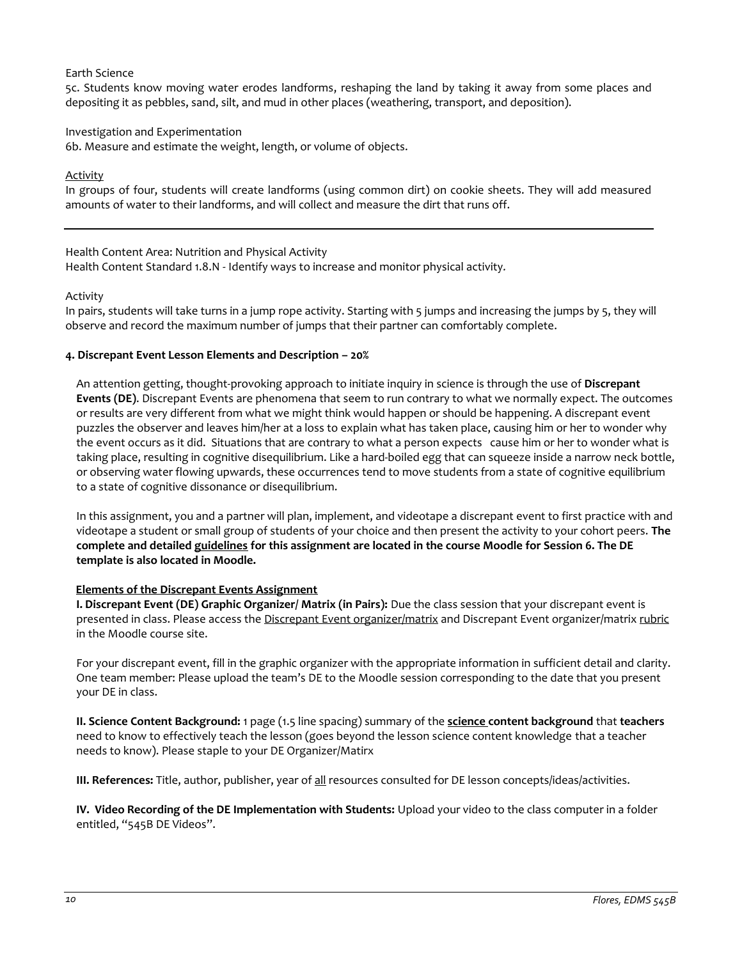## Earth Science

5c. Students know moving water erodes landforms, reshaping the land by taking it away from some places and depositing it as pebbles, sand, silt, and mud in other places (weathering, transport, and deposition).

## Investigation and Experimentation

6b. Measure and estimate the weight, length, or volume of objects.

## Activity

In groups of four, students will create landforms (using common dirt) on cookie sheets. They will add measured amounts of water to their landforms, and will collect and measure the dirt that runs off.

Health Content Area: Nutrition and Physical Activity Health Content Standard 1.8.N - Identify ways to increase and monitor physical activity*.*

## Activity

In pairs, students will take turns in a jump rope activity. Starting with 5 jumps and increasing the jumps by 5, they will observe and record the maximum number of jumps that their partner can comfortably complete.

## **4. Discrepant Event Lesson Elements and Description – 20%**

An attention getting, thought-provoking approach to initiate inquiry in science is through the use of **Discrepant Events (DE)**. Discrepant Events are phenomena that seem to run contrary to what we normally expect. The outcomes or results are very different from what we might think would happen or should be happening. A discrepant event puzzles the observer and leaves him/her at a loss to explain what has taken place, causing him or her to wonder why the event occurs as it did. Situations that are contrary to what a person expects cause him or her to wonder what is taking place, resulting in cognitive disequilibrium. Like a hard-boiled egg that can squeeze inside a narrow neck bottle, or observing water flowing upwards, these occurrences tend to move students from a state of cognitive equilibrium to a state of cognitive dissonance or disequilibrium.

In this assignment, you and a partner will plan, implement, and videotape a discrepant event to first practice with and videotape a student or small group of students of your choice and then present the activity to your cohort peers. **The complete and detailed guidelines for this assignment are located in the course Moodle for Session 6. The DE template is also located in Moodle.**

## **Elements of the Discrepant Events Assignment**

**I. Discrepant Event (DE) Graphic Organizer/ Matrix (in Pairs):** Due the class session that your discrepant event is presented in class. Please access the Discrepant Event organizer/matrix and Discrepant Event organizer/matrix rubric in the Moodle course site.

For your discrepant event, fill in the graphic organizer with the appropriate information in sufficient detail and clarity. One team member: Please upload the team's DE to the Moodle session corresponding to the date that you present your DE in class.

**II. Science Content Background:** 1 page (1.5 line spacing) summary of the **science content background** that **teachers** need to know to effectively teach the lesson (goes beyond the lesson science content knowledge that a teacher needs to know). Please staple to your DE Organizer/Matirx

**III. References:** Title, author, publisher, year of all resources consulted for DE lesson concepts/ideas/activities.

**IV. Video Recording of the DE Implementation with Students:** Upload your video to the class computer in a folder entitled, "545B DE Videos".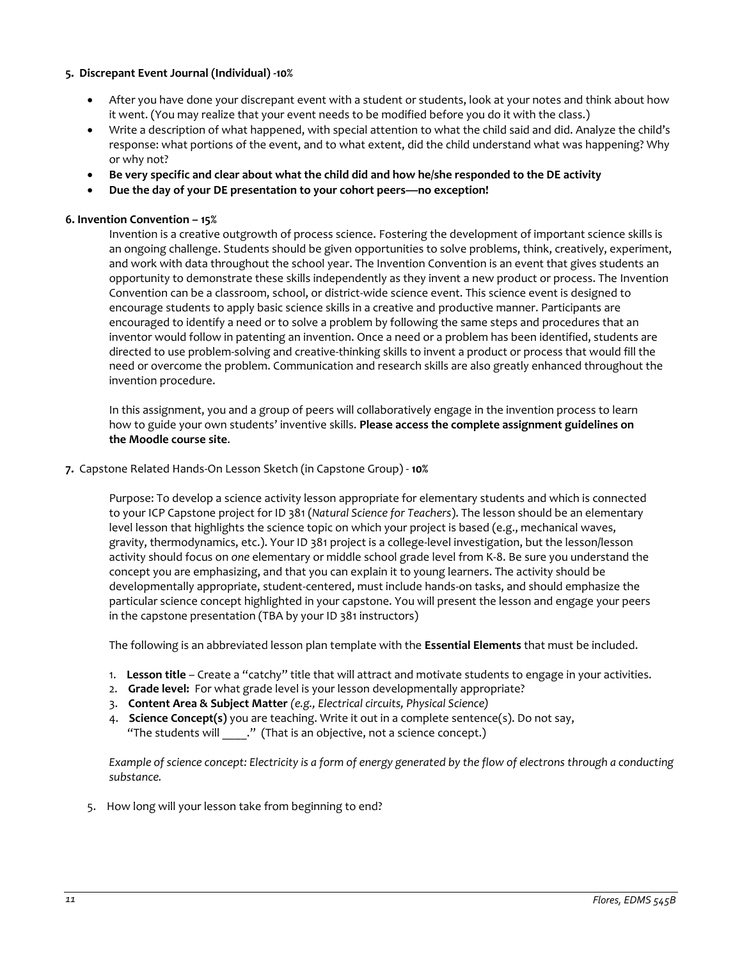## **5. Discrepant Event Journal (Individual) -10%**

- After you have done your discrepant event with a student or students, look at your notes and think about how it went. (You may realize that your event needs to be modified before you do it with the class.)
- Write a description of what happened, with special attention to what the child said and did. Analyze the child's response: what portions of the event, and to what extent, did the child understand what was happening? Why or why not?
- **Be very specific and clear about what the child did and how he/she responded to the DE activity**
- **Due the day of your DE presentation to your cohort peers—no exception!**

## **6. Invention Convention – 15%**

Invention is a creative outgrowth of process science. Fostering the development of important science skills is an ongoing challenge. Students should be given opportunities to solve problems, think, creatively, experiment, and work with data throughout the school year. The Invention Convention is an event that gives students an opportunity to demonstrate these skills independently as they invent a new product or process. The Invention Convention can be a classroom, school, or district-wide science event. This science event is designed to encourage students to apply basic science skills in a creative and productive manner. Participants are encouraged to identify a need or to solve a problem by following the same steps and procedures that an inventor would follow in patenting an invention. Once a need or a problem has been identified, students are directed to use problem-solving and creative-thinking skills to invent a product or process that would fill the need or overcome the problem. Communication and research skills are also greatly enhanced throughout the invention procedure.

In this assignment, you and a group of peers will collaboratively engage in the invention process to learn how to guide your own students' inventive skills. **Please access the complete assignment guidelines on the Moodle course site**.

## **7.** Capstone Related Hands-On Lesson Sketch (in Capstone Group) - **10%**

Purpose: To develop a science activity lesson appropriate for elementary students and which is connected to your ICP Capstone project for ID 381 (*Natural Science for Teachers*). The lesson should be an elementary level lesson that highlights the science topic on which your project is based (e.g., mechanical waves, gravity, thermodynamics, etc.). Your ID 381 project is a college-level investigation, but the lesson/lesson activity should focus on *one* elementary or middle school grade level from K-8. Be sure you understand the concept you are emphasizing, and that you can explain it to young learners. The activity should be developmentally appropriate, student-centered, must include hands-on tasks, and should emphasize the particular science concept highlighted in your capstone. You will present the lesson and engage your peers in the capstone presentation (TBA by your ID 381 instructors)

The following is an abbreviated lesson plan template with the **Essential Elements** that must be included.

- 1. **Lesson title** Create a "catchy" title that will attract and motivate students to engage in your activities.
- 2. **Grade level:** For what grade level is your lesson developmentally appropriate?
- 3. **Content Area & Subject Matter** *(e.g., Electrical circuits, Physical Science)*
- 4. **Science Concept(s)** you are teaching. Write it out in a complete sentence(s). Do not say, "The students will "." (That is an objective, not a science concept.)

*Example of science concept: Electricity is a form of energy generated by the flow of electrons through a conducting substance.* 

5. How long will your lesson take from beginning to end?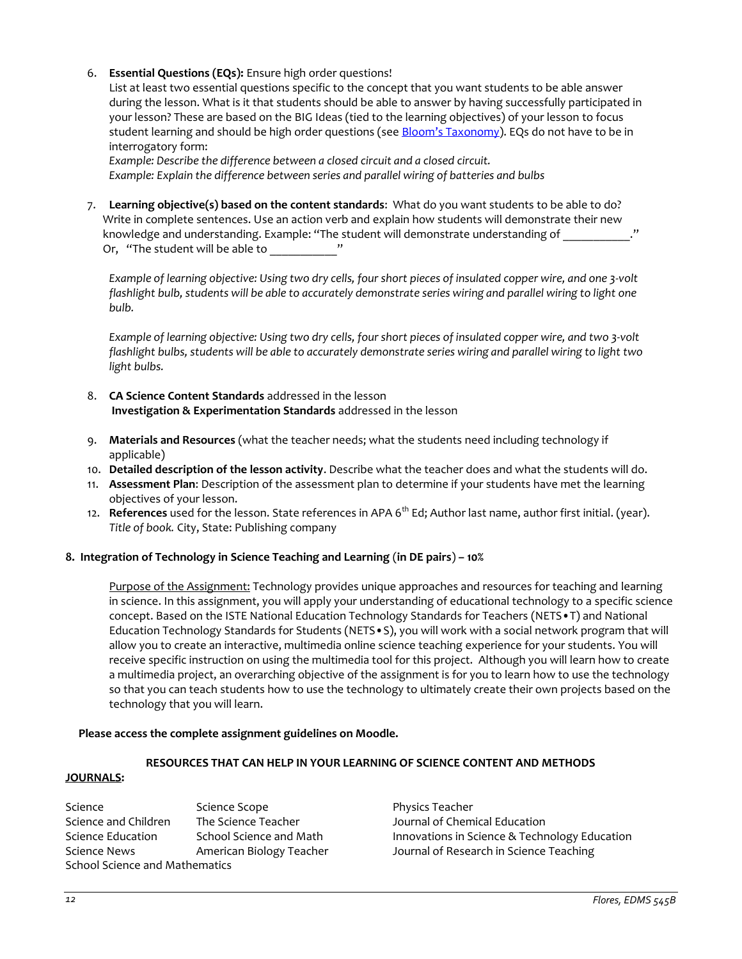## 6. **Essential Questions (EQs):** Ensure high order questions!

List at least two essential questions specific to the concept that you want students to be able answer during the lesson. What is it that students should be able to answer by having successfully participated in your lesson? These are based on the BIG Ideas (tied to the learning objectives) of your lesson to focus student learning and should be high order questions (see [Bloom's Taxonomy](http://www.odu.edu/educ/roverbau/Bloom/blooms_taxonomy.htm)). EQs do not have to be in interrogatory form:

*Example: Describe the difference between a closed circuit and a closed circuit. Example: Explain the difference between series and parallel wiring of batteries and bulbs*

7. **Learning objective(s) based on the content standards**: What do you want students to be able to do? Write in complete sentences. Use an action verb and explain how students will demonstrate their new knowledge and understanding. Example: "The student will demonstrate understanding of Or, "The student will be able to \_\_\_\_\_\_\_\_\_\_\_\_\_"

*Example of learning objective: Using two dry cells, four short pieces of insulated copper wire, and one 3-volt*  flashlight bulb, students will be able to accurately demonstrate series wiring and parallel wiring to light one *bulb.* 

*Example of learning objective: Using two dry cells, four short pieces of insulated copper wire, and two 3-volt flashlight bulbs, students will be able to accurately demonstrate series wiring and parallel wiring to light two light bulbs.*

- 8. **CA Science Content Standards** addressed in the lesson **Investigation & Experimentation Standards** addressed in the lesson
- 9. **Materials and Resources** (what the teacher needs; what the students need including technology if applicable)
- 10. **Detailed description of the lesson activity**. Describe what the teacher does and what the students will do.
- 11. **Assessment Plan**: Description of the assessment plan to determine if your students have met the learning objectives of your lesson.
- 12. **References** used for the lesson. State references in APA 6<sup>th</sup> Ed; Author last name, author first initial. (year). *Title of book.* City, State: Publishing company

## **8. Integration of Technology in Science Teaching and Learning** (**in DE pairs**) **– 10%**

Purpose of the Assignment: Technology provides unique approaches and resources for teaching and learning in science. In this assignment, you will apply your understanding of educational technology to a specific science concept. Based on the ISTE National Education Technology Standards for Teachers (NETS•T) and National Education Technology Standards for Students (NETS•S), you will work with a social network program that will allow you to create an interactive, multimedia online science teaching experience for your students. You will receive specific instruction on using the multimedia tool for this project. Although you will learn how to create a multimedia project, an overarching objective of the assignment is for you to learn how to use the technology so that you can teach students how to use the technology to ultimately create their own projects based on the technology that you will learn.

## **Please access the complete assignment guidelines on Moodle.**

## **RESOURCES THAT CAN HELP IN YOUR LEARNING OF SCIENCE CONTENT AND METHODS**

## <span id="page-11-0"></span>**JOURNALS:**

Science Science Scope Science Physics Teacher Science and Children The Science Teacher Journal of Chemical Education Science Education School Science and Math Innovations in Science & Technology Education Science News **American Biology Teacher Schafe American Biology Teacher Schafe** Journal of Research in Science Teaching School Science and Mathematics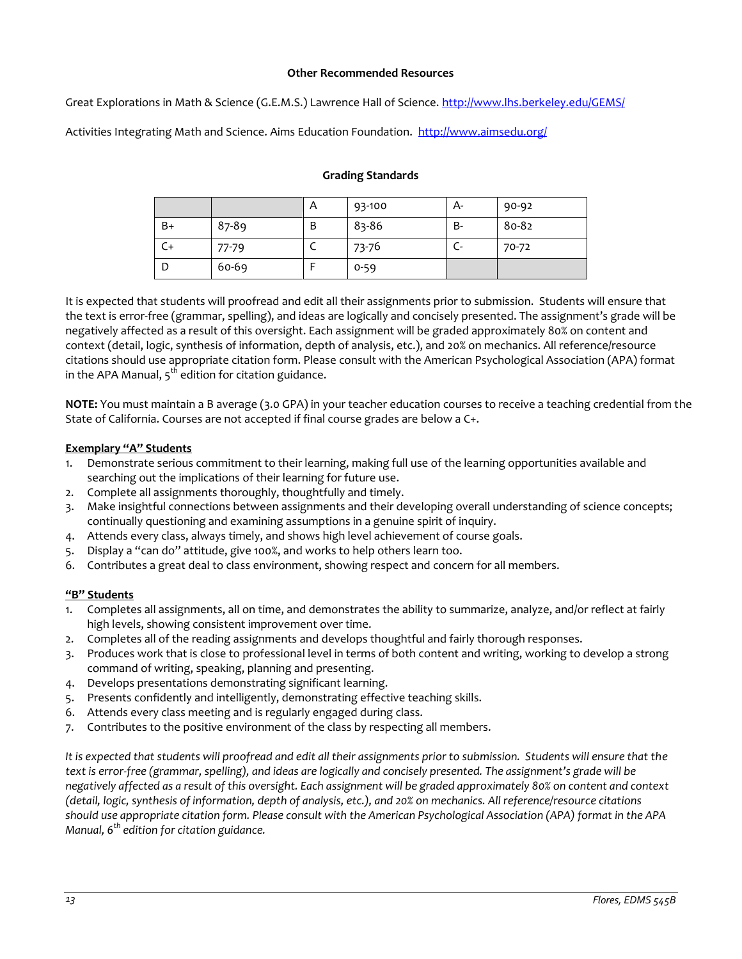## **Other Recommended Resources**

<span id="page-12-0"></span>Great Explorations in Math & Science (G.E.M.S.) Lawrence Hall of Science.<http://www.lhs.berkeley.edu/GEMS/>

<span id="page-12-1"></span>Activities Integrating Math and Science. Aims Education Foundation.<http://www.aimsedu.org/>

## **Grading Standards**

|      |       | A | 93-100   | А-  | 90-92 |
|------|-------|---|----------|-----|-------|
| $B+$ | 87-89 | Β | 83-86    | B-  | 80-82 |
|      | 77-79 |   | 73-76    | ur. | 70-72 |
|      | 60-69 |   | $0 - 59$ |     |       |

It is expected that students will proofread and edit all their assignments prior to submission. Students will ensure that the text is error-free (grammar, spelling), and ideas are logically and concisely presented. The assignment's grade will be negatively affected as a result of this oversight. Each assignment will be graded approximately 80% on content and context (detail, logic, synthesis of information, depth of analysis, etc.), and 20% on mechanics. All reference/resource citations should use appropriate citation form. Please consult with the American Psychological Association (APA) format in the APA Manual,  $5<sup>th</sup>$  edition for citation guidance.

**NOTE:** You must maintain a B average (3.0 GPA) in your teacher education courses to receive a teaching credential from the State of California. Courses are not accepted if final course grades are below a C+.

## **Exemplary "A" Students**

- 1. Demonstrate serious commitment to their learning, making full use of the learning opportunities available and searching out the implications of their learning for future use.
- 2. Complete all assignments thoroughly, thoughtfully and timely.
- 3. Make insightful connections between assignments and their developing overall understanding of science concepts; continually questioning and examining assumptions in a genuine spirit of inquiry.
- 4. Attends every class, always timely, and shows high level achievement of course goals.
- 5. Display a "can do" attitude, give 100%, and works to help others learn too.
- 6. Contributes a great deal to class environment, showing respect and concern for all members.

## **"B" Students**

- Completes all assignments, all on time, and demonstrates the ability to summarize, analyze, and/or reflect at fairly high levels, showing consistent improvement over time.
- 2. Completes all of the reading assignments and develops thoughtful and fairly thorough responses.
- 3. Produces work that is close to professional level in terms of both content and writing, working to develop a strong command of writing, speaking, planning and presenting.
- 4. Develops presentations demonstrating significant learning.
- 5. Presents confidently and intelligently, demonstrating effective teaching skills.
- 6. Attends every class meeting and is regularly engaged during class.
- 7. Contributes to the positive environment of the class by respecting all members.

*It is expected that students will proofread and edit all their assignments prior to submission. Students will ensure that the text is error-free (grammar, spelling), and ideas are logically and concisely presented. The assignment's grade will be negatively affected as a result of this oversight. Each assignment will be graded approximately 80% on content and context (detail, logic, synthesis of information, depth of analysis, etc.), and 20% on mechanics. All reference/resource citations should use appropriate citation form. Please consult with the American Psychological Association (APA) format in the APA Manual, 6th edition for citation guidance.*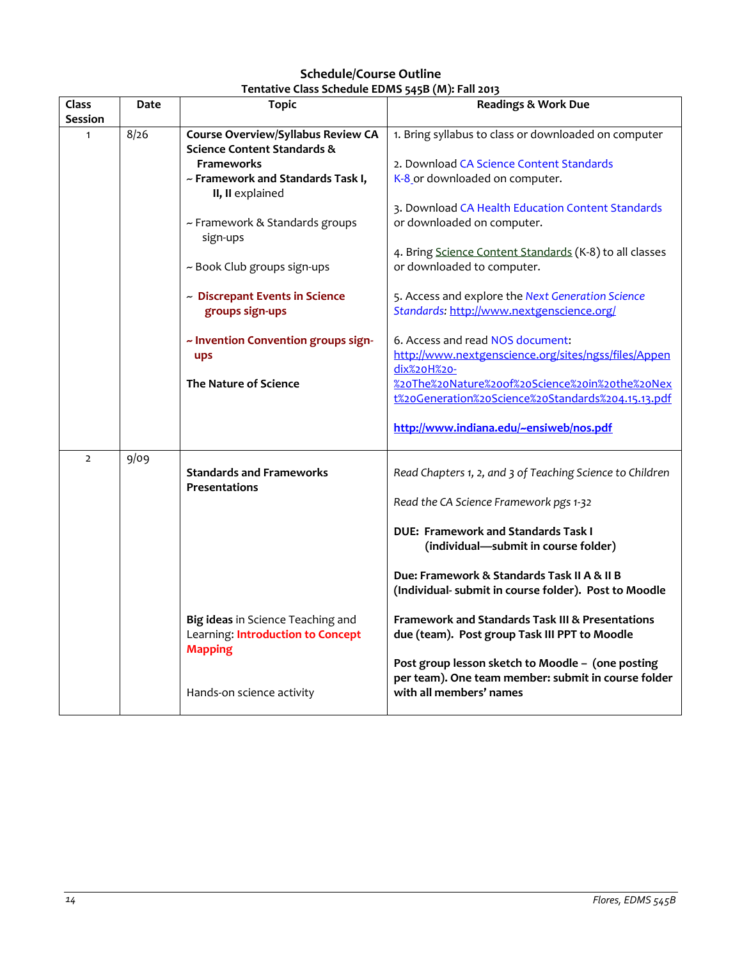# **Schedule/Course Outline Tentative Class Schedule EDMS 545B (M): Fall 2013**

<span id="page-13-1"></span><span id="page-13-0"></span>

| Class          | Date | <b>Topic</b>                                                                             | <b>Readings &amp; Work Due</b>                                                                               |
|----------------|------|------------------------------------------------------------------------------------------|--------------------------------------------------------------------------------------------------------------|
| <b>Session</b> |      |                                                                                          |                                                                                                              |
| $\mathbf{1}$   | 8/26 | <b>Course Overview/Syllabus Review CA</b><br><b>Science Content Standards &amp;</b>      | 1. Bring syllabus to class or downloaded on computer                                                         |
|                |      | <b>Frameworks</b>                                                                        | 2. Download CA Science Content Standards                                                                     |
|                |      | ~ Framework and Standards Task I,<br>II, II explained                                    | K-8 or downloaded on computer.                                                                               |
|                |      |                                                                                          | 3. Download CA Health Education Content Standards                                                            |
|                |      | ~ Framework & Standards groups<br>sign-ups                                               | or downloaded on computer.                                                                                   |
|                |      | ~ Book Club groups sign-ups                                                              | 4. Bring Science Content Standards (K-8) to all classes<br>or downloaded to computer.                        |
|                |      | ~ Discrepant Events in Science<br>groups sign-ups                                        | 5. Access and explore the Next Generation Science<br>Standards: http://www.nextgenscience.org/               |
|                |      | ~ Invention Convention groups sign-<br>ups                                               | 6. Access and read NOS document:<br>http://www.nextgenscience.org/sites/ngss/files/Appen<br>dix%20H%20-      |
|                |      | <b>The Nature of Science</b>                                                             | %20The%20Nature%20of%20Science%20in%20the%20Nex<br>t%20Generation%20Science%20Standards%204.15.13.pdf        |
|                |      |                                                                                          | http://www.indiana.edu/~ensiweb/nos.pdf                                                                      |
| $\overline{2}$ | 9/09 | <b>Standards and Frameworks</b><br>Presentations                                         | Read Chapters 1, 2, and 3 of Teaching Science to Children                                                    |
|                |      |                                                                                          | Read the CA Science Framework pgs 1-32                                                                       |
|                |      |                                                                                          | <b>DUE: Framework and Standards Task I</b><br>(individual-submit in course folder)                           |
|                |      |                                                                                          | Due: Framework & Standards Task II A & II B<br>(Individual- submit in course folder). Post to Moodle         |
|                |      | Big ideas in Science Teaching and<br>Learning: Introduction to Concept<br><b>Mapping</b> | <b>Framework and Standards Task III &amp; Presentations</b><br>due (team). Post group Task III PPT to Moodle |
|                |      |                                                                                          | Post group lesson sketch to Moodle - (one posting<br>per team). One team member: submit in course folder     |
|                |      | Hands-on science activity                                                                | with all members' names                                                                                      |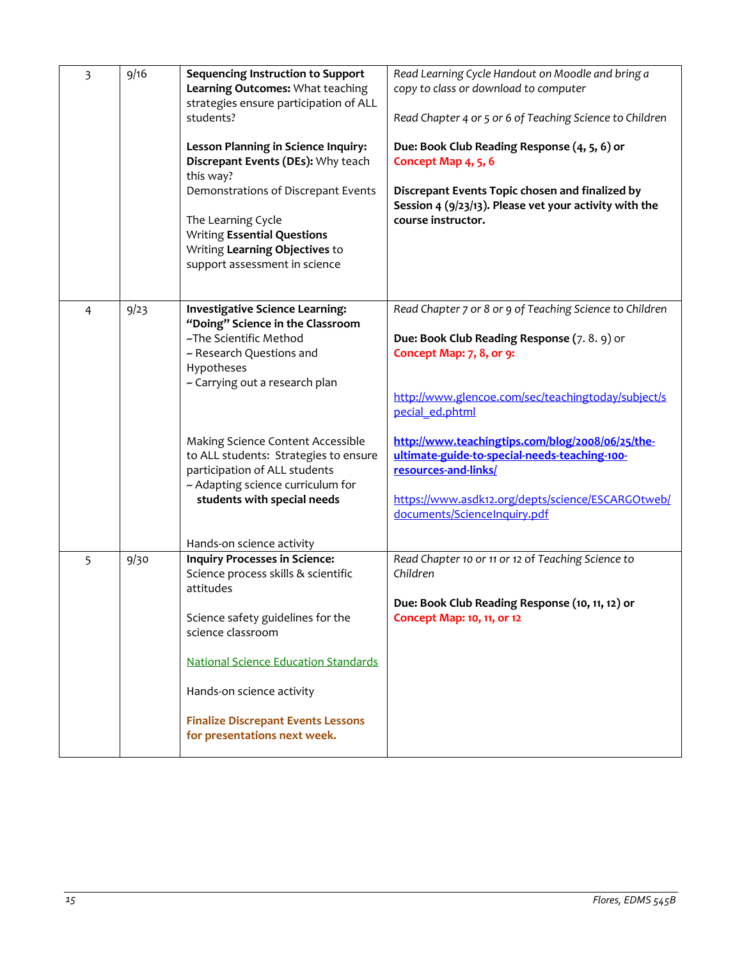| 3 | 9/16 | <b>Sequencing Instruction to Support</b><br>Learning Outcomes: What teaching<br>strategies ensure participation of ALL                           | Read Learning Cycle Handout on Moodle and bring a<br>copy to class or download to computer                                |
|---|------|--------------------------------------------------------------------------------------------------------------------------------------------------|---------------------------------------------------------------------------------------------------------------------------|
|   |      | students?                                                                                                                                        | Read Chapter 4 or 5 or 6 of Teaching Science to Children                                                                  |
|   |      | Lesson Planning in Science Inquiry:<br>Discrepant Events (DEs): Why teach<br>this way?                                                           | Due: Book Club Reading Response (4, 5, 6) or<br>Concept Map 4, 5, 6                                                       |
|   |      | Demonstrations of Discrepant Events                                                                                                              | Discrepant Events Topic chosen and finalized by<br>Session 4 (9/23/13). Please vet your activity with the                 |
|   |      | The Learning Cycle<br><b>Writing Essential Questions</b><br>Writing Learning Objectives to<br>support assessment in science                      | course instructor.                                                                                                        |
| 4 | 9/23 | <b>Investigative Science Learning:</b><br>"Doing" Science in the Classroom                                                                       | Read Chapter 7 or 8 or 9 of Teaching Science to Children                                                                  |
|   |      | ~The Scientific Method<br>~ Research Questions and<br>Hypotheses<br>~ Carrying out a research plan                                               | Due: Book Club Reading Response (7.8.9) or<br>Concept Map: 7, 8, or 9:                                                    |
|   |      |                                                                                                                                                  | http://www.glencoe.com/sec/teachingtoday/subject/s<br>pecial ed.phtml                                                     |
|   |      | Making Science Content Accessible<br>to ALL students: Strategies to ensure<br>participation of ALL students<br>~ Adapting science curriculum for | http://www.teachingtips.com/blog/2008/06/25/the-<br>ultimate-guide-to-special-needs-teaching-100-<br>resources-and-links/ |
|   |      | students with special needs                                                                                                                      | https://www.asdk12.org/depts/science/ESCARGOtweb/<br>documents/ScienceInquiry.pdf                                         |
|   |      | Hands-on science activity                                                                                                                        |                                                                                                                           |
| 5 | 9/30 | <b>Inquiry Processes in Science:</b><br>Science process skills & scientific<br>attitudes                                                         | Read Chapter 10 or 11 or 12 of Teaching Science to<br>Children                                                            |
|   |      |                                                                                                                                                  | Due: Book Club Reading Response (10, 11, 12) or                                                                           |
|   |      | Science safety guidelines for the<br>science classroom                                                                                           | Concept Map: 10, 11, or 12                                                                                                |
|   |      | <b>National Science Education Standards</b>                                                                                                      |                                                                                                                           |
|   |      | Hands-on science activity                                                                                                                        |                                                                                                                           |
|   |      | <b>Finalize Discrepant Events Lessons</b><br>for presentations next week.                                                                        |                                                                                                                           |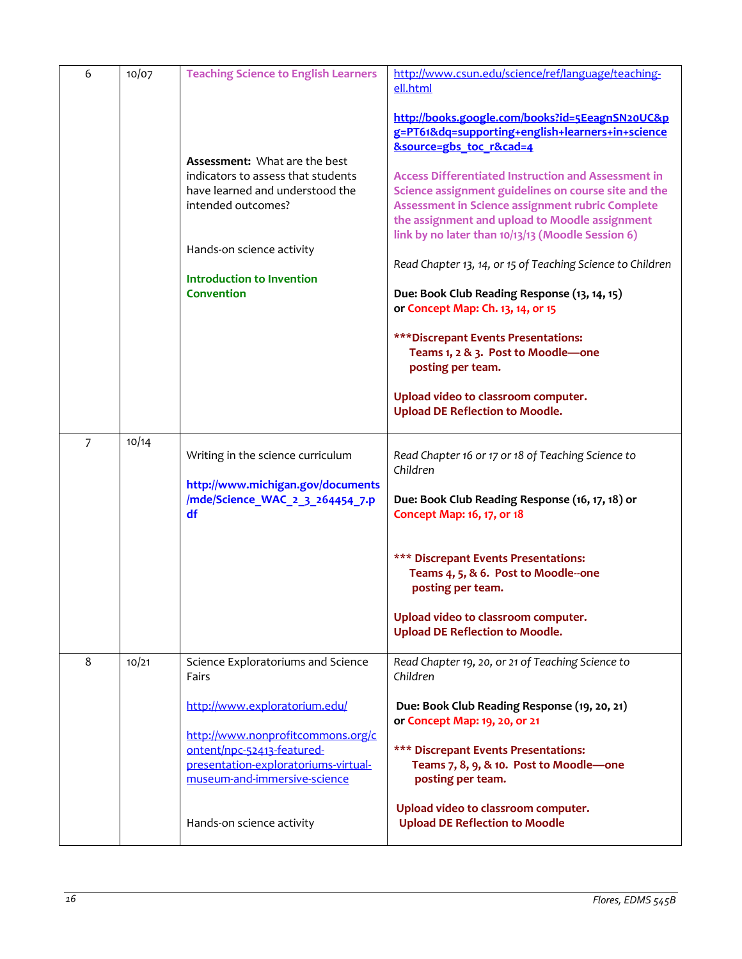| 6              | 10/07 | <b>Teaching Science to English Learners</b>                                                                                                                                                                               | http://www.csun.edu/science/ref/language/teaching-<br>ell.html                                                                                                                                                                                                                                                                                                                                                                                                                                                                                                             |
|----------------|-------|---------------------------------------------------------------------------------------------------------------------------------------------------------------------------------------------------------------------------|----------------------------------------------------------------------------------------------------------------------------------------------------------------------------------------------------------------------------------------------------------------------------------------------------------------------------------------------------------------------------------------------------------------------------------------------------------------------------------------------------------------------------------------------------------------------------|
|                |       |                                                                                                                                                                                                                           | http://books.google.com/books?id=5EeagnSN20UC&p<br>g=PT61&dq=supporting+english+learners+in+science<br><b>&amp;source=gbs toc r&amp;cad=4</b>                                                                                                                                                                                                                                                                                                                                                                                                                              |
|                |       | <b>Assessment:</b> What are the best<br>indicators to assess that students<br>have learned and understood the<br>intended outcomes?<br>Hands-on science activity<br><b>Introduction to Invention</b><br><b>Convention</b> | <b>Access Differentiated Instruction and Assessment in</b><br>Science assignment guidelines on course site and the<br>Assessment in Science assignment rubric Complete<br>the assignment and upload to Moodle assignment<br>link by no later than 10/13/13 (Moodle Session 6)<br>Read Chapter 13, 14, or 15 of Teaching Science to Children<br>Due: Book Club Reading Response (13, 14, 15)<br>or Concept Map: Ch. 13, 14, or 15<br>*** Discrepant Events Presentations:<br>Teams 1, 2 & 3. Post to Moodle-one<br>posting per team.<br>Upload video to classroom computer. |
|                |       |                                                                                                                                                                                                                           | <b>Upload DE Reflection to Moodle.</b>                                                                                                                                                                                                                                                                                                                                                                                                                                                                                                                                     |
| $\overline{7}$ | 10/14 | Writing in the science curriculum<br>http://www.michigan.gov/documents<br>/mde/Science_WAC_2_3_264454_7.p<br>df                                                                                                           | Read Chapter 16 or 17 or 18 of Teaching Science to<br>Children<br>Due: Book Club Reading Response (16, 17, 18) or<br>Concept Map: 16, 17, or 18                                                                                                                                                                                                                                                                                                                                                                                                                            |
|                |       |                                                                                                                                                                                                                           | *** Discrepant Events Presentations:<br>Teams 4, 5, & 6. Post to Moodle--one<br>posting per team.                                                                                                                                                                                                                                                                                                                                                                                                                                                                          |
|                |       |                                                                                                                                                                                                                           | Upload video to classroom computer.<br><b>Upload DE Reflection to Moodle.</b>                                                                                                                                                                                                                                                                                                                                                                                                                                                                                              |
| 8              | 10/21 | Science Exploratoriums and Science<br>Fairs                                                                                                                                                                               | Read Chapter 19, 20, or 21 of Teaching Science to<br>Children                                                                                                                                                                                                                                                                                                                                                                                                                                                                                                              |
|                |       | http://www.exploratorium.edu/<br>http://www.nonprofitcommons.org/c<br>ontent/npc-52413-featured-<br>presentation-exploratoriums-virtual-                                                                                  | Due: Book Club Reading Response (19, 20, 21)<br>or Concept Map: 19, 20, or 21<br>*** Discrepant Events Presentations:<br>Teams 7, 8, 9, & 10. Post to Moodle-one                                                                                                                                                                                                                                                                                                                                                                                                           |
|                |       | museum-and-immersive-science                                                                                                                                                                                              | posting per team.                                                                                                                                                                                                                                                                                                                                                                                                                                                                                                                                                          |
|                |       | Hands-on science activity                                                                                                                                                                                                 | Upload video to classroom computer.<br><b>Upload DE Reflection to Moodle</b>                                                                                                                                                                                                                                                                                                                                                                                                                                                                                               |